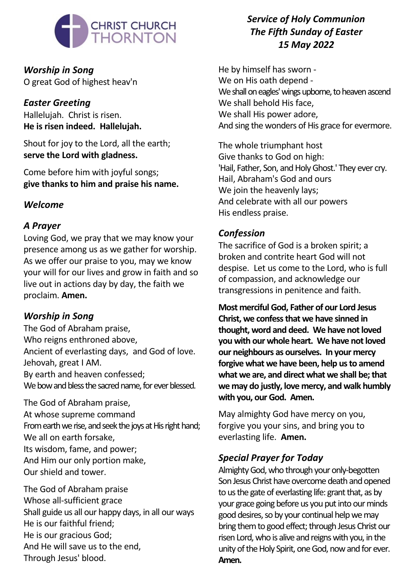

*Worship in Song* O great God of highest heav'n

## *Easter Greeting*

Hallelujah. Christ is risen. **He is risen indeed. Hallelujah.**

Shout for joy to the Lord, all the earth; **serve the Lord with gladness.**

Come before him with joyful songs; **give thanks to him and praise his name.**

## *Welcome*

## *A Prayer*

Loving God, we pray that we may know your presence among us as we gather for worship. As we offer our praise to you, may we know your will for our lives and grow in faith and so live out in actions day by day, the faith we proclaim. **Amen.**

## *Worship in Song*

The God of Abraham praise, Who reigns enthroned above, Ancient of everlasting days, and God of love. Jehovah, great I AM. By earth and heaven confessed; We bow and bless the sacred name, for ever blessed.

The God of Abraham praise, At whose supreme command From earth we rise, and seek the joys at His right hand; We all on earth forsake, Its wisdom, fame, and power; And Him our only portion make, Our shield and tower.

The God of Abraham praise Whose all-sufficient grace Shall guide us all our happy days, in all our ways He is our faithful friend; He is our gracious God; And He will save us to the end, Through Jesus' blood.

# *Service of Holy Communion The Fifth Sunday of Easter 15 May 2022*

He by himself has sworn - We on His oath depend - We shall on eagles' wings upborne, to heaven ascend We shall behold His face. We shall His power adore, And sing the wonders of His grace for evermore.

The whole triumphant host Give thanks to God on high: 'Hail, Father, Son, and Holy Ghost.' They ever cry. Hail, Abraham's God and ours We join the heavenly lays; And celebrate with all our powers His endless praise.

## *Confession*

The sacrifice of God is a broken spirit; a broken and contrite heart God will not despise. Let us come to the Lord, who is full of compassion, and acknowledge our transgressions in penitence and faith.

**Most merciful God, Father of our Lord Jesus Christ, we confessthat we have sinned in thought, word and deed. We have notloved you with our whole heart. We have notloved our neighbours as ourselves. In your mercy forgive what we have been, help usto amend what we are, and direct what we shall be;that we may do justly, love mercy, and walk humbly with you, ourGod. Amen.**

May almighty God have mercy on you, forgive you your sins, and bring you to everlasting life. **Amen.**

# *Special Prayer for Today*

Almighty God, who through your only-begotten Son Jesus Christ have overcome death and opened to us the gate of everlasting life: grant that, as by your grace going before us you put into our minds good desires, so by your continual help we may bring them to good effect; through Jesus Christ our risen Lord, who is alive and reigns with you, in the unity of the Holy Spirit, one God, now and for ever. **Amen.**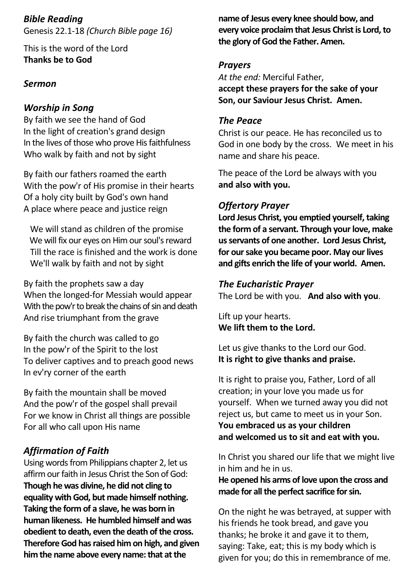### *Bible Reading*

Genesis 22.1-18 *(Church Bible page 16)*

This is the word of the Lord **Thanks be to God**

#### *Sermon*

#### *Worship in Song*

By faith we see the hand of God In the light of creation's grand design In the lives of those who prove His faithfulness Who walk by faith and not by sight

By faith our fathers roamed the earth With the pow'r of His promise in their hearts Of a holy city built by God's own hand A place where peace and justice reign

 We will stand as children of the promise We will fix our eyes on Him our soul's reward Till the race is finished and the work is done We'll walk by faith and not by sight

By faith the prophets saw a day When the longed-for Messiah would appear With the pow'r to break the chains of sin and death And rise triumphant from the grave

By faith the church was called to go In the pow'r of the Spirit to the lost To deliver captives and to preach good news In ev'ry corner of the earth

By faith the mountain shall be moved And the pow'r of the gospel shall prevail For we know in Christ all things are possible For all who call upon His name

## *Affirmation of Faith*

Using words from Philippians chapter 2, let us affirm our faith in Jesus Christ the Son of God: **Though he was divine, he did not cling to equality withGod, but made himself nothing. Taking the form of a slave, he was born in human likeness. He humbled himself and was obedient to death, even the death of the cross. ThereforeGod hasraised him on high, and given him** the name above every name: that at the

**name ofJesus every knee should bow, and every** voice proclaim that Jesus Christ is Lord, to **the glory of God the Father. Amen.**

#### *Prayers*

*At the end:* Merciful Father, **accept these prayers for the sake of your Son, our Saviour Jesus Christ. Amen.**

#### *The Peace*

Christ is our peace. He has reconciled us to God in one body by the cross. We meet in his name and share his peace.

The peace of the Lord be always with you **and also with you.**

#### *Offertory Prayer*

**Lord Jesus Christ, you emptied yourself, taking the form of a servant. Through yourlove, make usservants of one another. Lord Jesus Christ, for oursake you became poor. May ourlives and gifts enrich the life of your world. Amen.**

#### *The Eucharistic Prayer*

The Lord be with you. **And also with you**.

Lift up your hearts. **We lift them to the Lord.**

Let us give thanks to the Lord our God. **It is right to give thanks and praise.**

It is right to praise you, Father, Lord of all creation; in your love you made us for yourself. When we turned away you did not reject us, but came to meet us in your Son. **You embraced us as your children and welcomed us to sit and eat with you.**

In Christ you shared our life that we might live in him and he in us.

**He opened his arms of love upon the cross and made** for all the perfect sacrifice for sin.

On the night he was betrayed, at supper with his friends he took bread, and gave you thanks; he broke it and gave it to them, saying: Take, eat; this is my body which is given for you; do this in remembrance of me.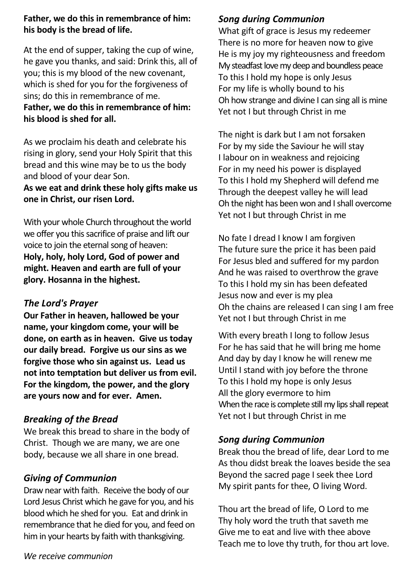## **Father, we do this in remembrance of him: his body is the bread of life.**

At the end of supper, taking the cup of wine, he gave you thanks, and said: Drink this, all of you; this is my blood of the new covenant, which is shed for you for the forgiveness of sins; do this in remembrance of me. **Father, we do this in remembrance of him: his blood is shed for all.**

As we proclaim his death and celebrate his rising in glory, send your Holy Spirit that this bread and this wine may be to us the body and blood of your dear Son.

**As we eat and drink these holy gifts make us one in Christ, our risen Lord.**

With your whole Church throughout the world we offer you this sacrifice of praise and lift our voice to join the eternal song of heaven: **Holy, holy, holy Lord, God of power and might. Heaven and earth are full of your glory. Hosanna in the highest.**

## *The Lord's Prayer*

**Our Father in heaven, hallowed be your name, your kingdom come, your will be done, on earth as in heaven. Give us today our daily bread. Forgive us our sins as we forgive those who sin against us. Lead us not into temptation but deliver us from evil. For the kingdom, the power, and the glory are yours now and for ever. Amen.**

## *Breaking of the Bread*

We break this bread to share in the body of Christ. Though we are many, we are one body, because we all share in one bread.

## *Giving of Communion*

Draw near with faith. Receive the body of our Lord Jesus Christ which he gave for you, and his blood which he shed for you. Eat and drink in remembrance that he died for you, and feed on him in your hearts by faith with thanksgiving.

# *Song during Communion*

What gift of grace is Jesus my redeemer There is no more for heaven now to give He is my joy my righteousness and freedom My steadfast love my deep and boundless peace To this I hold my hope is only Jesus For my life is wholly bound to his Oh how strange and divine I can sing all is mine Yet not I but through Christ in me

The night is dark but I am not forsaken For by my side the Saviour he will stay I labour on in weakness and rejoicing For in my need his power is displayed To this I hold my Shepherd will defend me Through the deepest valley he will lead Oh the night has been won and I shall overcome Yet not I but through Christ in me

No fate I dread I know I am forgiven The future sure the price it has been paid For Jesus bled and suffered for my pardon And he was raised to overthrow the grave To this I hold my sin has been defeated Jesus now and ever is my plea Oh the chains are released I can sing I am free Yet not I but through Christ in me

With every breath I long to follow Jesus For he has said that he will bring me home And day by day I know he will renew me Until I stand with joy before the throne To this I hold my hope is only Jesus All the glory evermore to him When the race is complete still my lips shall repeat Yet not I but through Christ in me

# *Song during Communion*

Break thou the bread of life, dear Lord to me As thou didst break the loaves beside the sea Beyond the sacred page I seek thee Lord My spirit pants for thee, O living Word.

Thou art the bread of life, O Lord to me Thy holy word the truth that saveth me Give me to eat and live with thee above Teach me to love thy truth, for thou art love.